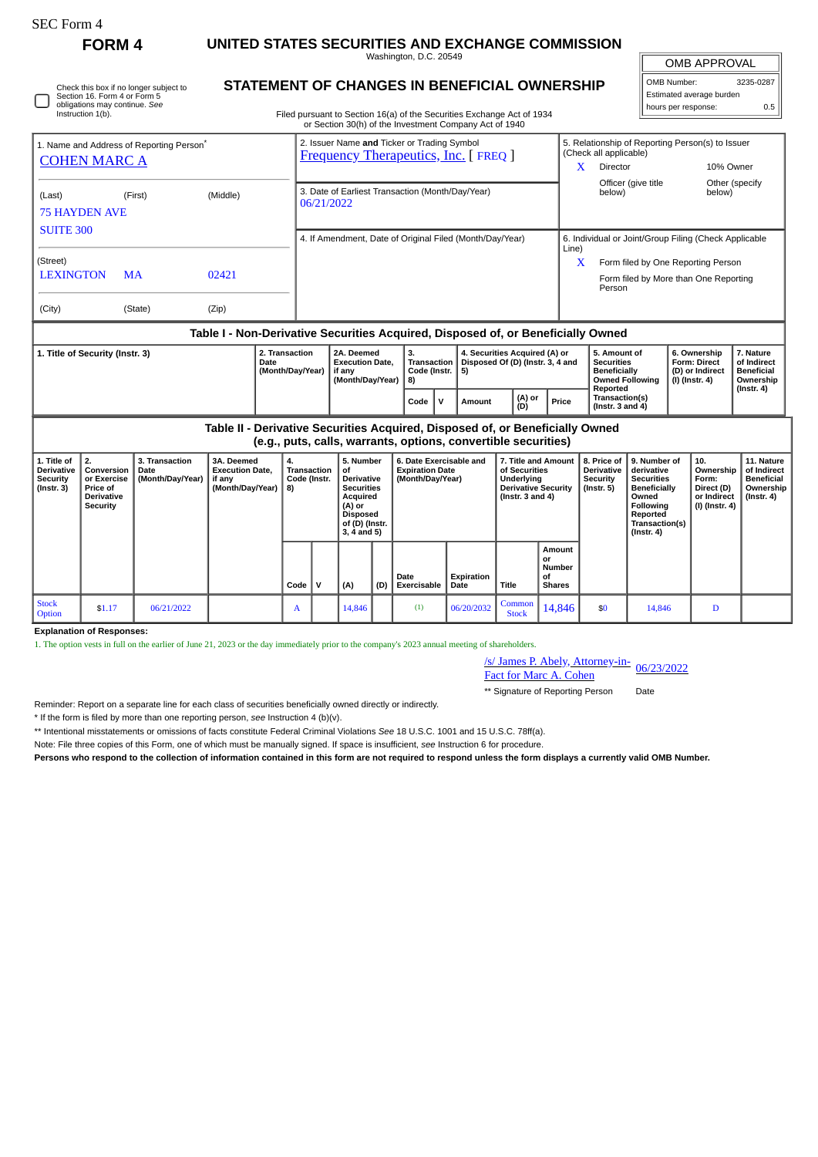| rorm |
|------|
|------|

 $\Box$ 

**FORM 4 UNITED STATES SECURITIES AND EXCHANGE COMMISSION**

Washington, D.C. 20549

OMB APPROVAL OMB Number: 3235-0287 Estimated average burden

hours per response: 0.5

Check this box if no longer subject to Section 16. Form 4 or Form 5 obligations may continue. *See* Instruction 1(b).

## **STATEMENT OF CHANGES IN BENEFICIAL OWNERSHIP**

Filed pursuant to Section 16(a) of the Securities Exchange Act of 1934 or Section 30(h) of the Investment Company Act of 1940

| 1. Name and Address of Reporting Person <sup>®</sup><br><b>COHEN MARC A</b>   |                                                                                                                                                                                                         |           |                                                                                  |                                                |                                                                    | 2. Issuer Name and Ticker or Trading Symbol<br><b>Frequency Therapeutics, Inc. [ FREQ ]</b>                                             |     |                                                                       |                                    |                                                                         |                                                                                                                 |              |               |                                                                      | 5. Relationship of Reporting Person(s) to Issuer<br>(Check all applicable)<br>X<br><b>Director</b>                                              |                     |                                                                            | 10% Owner                                                                       |  |
|-------------------------------------------------------------------------------|---------------------------------------------------------------------------------------------------------------------------------------------------------------------------------------------------------|-----------|----------------------------------------------------------------------------------|------------------------------------------------|--------------------------------------------------------------------|-----------------------------------------------------------------------------------------------------------------------------------------|-----|-----------------------------------------------------------------------|------------------------------------|-------------------------------------------------------------------------|-----------------------------------------------------------------------------------------------------------------|--------------|---------------|----------------------------------------------------------------------|-------------------------------------------------------------------------------------------------------------------------------------------------|---------------------|----------------------------------------------------------------------------|---------------------------------------------------------------------------------|--|
| (Middle)<br>(Last)<br>(First)<br><b>75 HAYDEN AVE</b>                         |                                                                                                                                                                                                         |           |                                                                                  |                                                |                                                                    | 3. Date of Earliest Transaction (Month/Day/Year)<br>06/21/2022                                                                          |     |                                                                       |                                    |                                                                         |                                                                                                                 |              |               |                                                                      | below)                                                                                                                                          | Officer (give title |                                                                            | Other (specify<br>below)                                                        |  |
| <b>SUITE 300</b>                                                              |                                                                                                                                                                                                         |           |                                                                                  |                                                | 4. If Amendment, Date of Original Filed (Month/Day/Year)           |                                                                                                                                         |     |                                                                       |                                    |                                                                         |                                                                                                                 |              |               | 6. Individual or Joint/Group Filing (Check Applicable<br>Line)       |                                                                                                                                                 |                     |                                                                            |                                                                                 |  |
| (Street)<br><b>LEXINGTON</b>                                                  |                                                                                                                                                                                                         | <b>MA</b> | 02421                                                                            |                                                |                                                                    |                                                                                                                                         |     |                                                                       |                                    |                                                                         |                                                                                                                 |              |               |                                                                      | X<br>Person                                                                                                                                     |                     |                                                                            | Form filed by One Reporting Person<br>Form filed by More than One Reporting     |  |
| (City)                                                                        |                                                                                                                                                                                                         | (State)   | (Zip)                                                                            |                                                |                                                                    |                                                                                                                                         |     |                                                                       |                                    |                                                                         |                                                                                                                 |              |               |                                                                      |                                                                                                                                                 |                     |                                                                            |                                                                                 |  |
|                                                                               |                                                                                                                                                                                                         |           | Table I - Non-Derivative Securities Acquired, Disposed of, or Beneficially Owned |                                                |                                                                    |                                                                                                                                         |     |                                                                       |                                    |                                                                         |                                                                                                                 |              |               |                                                                      |                                                                                                                                                 |                     |                                                                            |                                                                                 |  |
| 2. Transaction<br>1. Title of Security (Instr. 3)<br>Date<br>(Month/Day/Year) |                                                                                                                                                                                                         |           |                                                                                  |                                                | 2A. Deemed<br><b>Execution Date,</b><br>if any<br>(Month/Day/Year) |                                                                                                                                         |     | 3.<br>8)                                                              | <b>Transaction</b><br>Code (Instr. | 4. Securities Acquired (A) or<br>Disposed Of (D) (Instr. 3, 4 and<br>5) |                                                                                                                 |              |               | 5. Amount of<br><b>Securities</b><br><b>Beneficially</b><br>Reported | <b>Owned Following</b>                                                                                                                          |                     | 6. Ownership<br><b>Form: Direct</b><br>(D) or Indirect<br>$(I)$ (Instr. 4) | 7. Nature<br>of Indirect<br><b>Beneficial</b><br>Ownership<br>$($ Instr. 4 $)$  |  |
|                                                                               |                                                                                                                                                                                                         |           |                                                                                  |                                                |                                                                    |                                                                                                                                         |     |                                                                       | Code                               | $\mathbf v$                                                             | Amount                                                                                                          |              | (A) or<br>(D) | Price                                                                | Transaction(s)<br>(Instr. $3$ and $4$ )                                                                                                         |                     |                                                                            |                                                                                 |  |
|                                                                               |                                                                                                                                                                                                         |           | Table II - Derivative Securities Acquired, Disposed of, or Beneficially Owned    |                                                |                                                                    |                                                                                                                                         |     |                                                                       |                                    |                                                                         | (e.g., puts, calls, warrants, options, convertible securities)                                                  |              |               |                                                                      |                                                                                                                                                 |                     |                                                                            |                                                                                 |  |
| 1. Title of<br><b>Derivative</b><br>Security<br>$($ Instr. 3 $)$              | 2.<br>3A. Deemed<br>3. Transaction<br>Conversion<br>Date<br><b>Execution Date,</b><br>(Month/Day/Year)<br>or Exercise<br>if any<br>(Month/Day/Year)<br>Price of<br><b>Derivative</b><br><b>Security</b> |           |                                                                                  | 4.<br><b>Transaction</b><br>Code (Instr.<br>8) |                                                                    | 5. Number<br>οf<br><b>Derivative</b><br><b>Securities</b><br>Acquired<br>(A) or<br><b>Disposed</b><br>of (D) (Instr.<br>$3, 4$ and $5)$ |     | 6. Date Exercisable and<br><b>Expiration Date</b><br>(Month/Day/Year) |                                    |                                                                         | 7. Title and Amount<br>of Securities<br><b>Underlvina</b><br><b>Derivative Security</b><br>( $lnstr. 3 and 4$ ) |              |               | 8. Price of<br><b>Derivative</b><br><b>Security</b><br>(Instr. 5)    | 9. Number of<br>derivative<br><b>Securities</b><br><b>Beneficially</b><br>Owned<br>Followina<br><b>Reported</b><br>Transaction(s)<br>(Instr. 4) |                     | 10.<br>Ownership<br>Form:<br>Direct (D)<br>or Indirect<br>(I) (Instr. 4)   | 11. Nature<br>of Indirect<br><b>Beneficial</b><br>Ownership<br>$($ Instr. 4 $)$ |  |
|                                                                               |                                                                                                                                                                                                         |           |                                                                                  |                                                | Code                                                               | Ιv                                                                                                                                      | (A) | (D)                                                                   | Date<br>Exercisable                |                                                                         | Expiration<br>Date                                                                                              | <b>Title</b> | or<br>οf      | Amount<br><b>Number</b><br><b>Shares</b>                             |                                                                                                                                                 |                     |                                                                            |                                                                                 |  |

**Explanation of Responses:**

Stock<br>Option

1. The option vests in full on the earlier of June 21, 2023 or the day immediately prior to the company's 2023 annual meeting of shareholders.

Stock \$1.17 06/21/2022 A 14,846 (1) 06/20/2032 Common<br>Option 51.17 06/21/2022 A 14,846 (1) 06/20/2032 Stock

 $\text{Code}$   $\vert \text{V} \vert$   $\vert$  (A)

/s/ James P. Abely, Attorney-in-*SI* James P. Abely, Attorney-in-<br>Fact for Marc A. Cohen 06/23/2022

 $\begin{array}{|c|c|c|c|c|}\n\hline \text{Common} & 14,846 & \text{ $50$} & 14,846 & \text{D} \\
\hline \end{array}$ 

\*\* Signature of Reporting Person Date

Reminder: Report on a separate line for each class of securities beneficially owned directly or indirectly.

\* If the form is filed by more than one reporting person, *see* Instruction 4 (b)(v).

\*\* Intentional misstatements or omissions of facts constitute Federal Criminal Violations *See* 18 U.S.C. 1001 and 15 U.S.C. 78ff(a).

Note: File three copies of this Form, one of which must be manually signed. If space is insufficient, *see* Instruction 6 for procedure.

**Persons who respond to the collection of information contained in this form are not required to respond unless the form displays a currently valid OMB Number.**